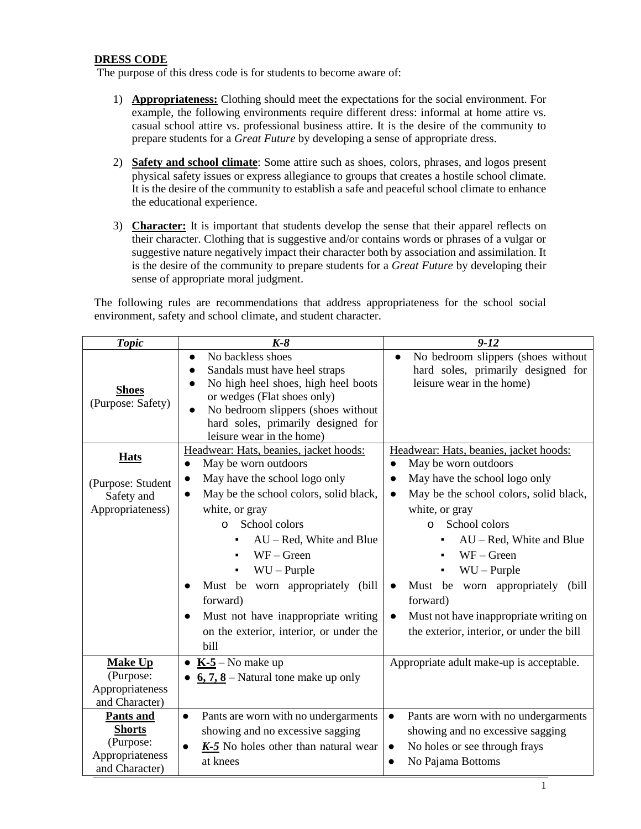## **DRESS CODE**

The purpose of this dress code is for students to become aware of:

- 1) **Appropriateness:** Clothing should meet the expectations for the social environment. For example, the following environments require different dress: informal at home attire vs. casual school attire vs. professional business attire. It is the desire of the community to prepare students for a *Great Future* by developing a sense of appropriate dress.
- 2) **Safety and school climate**: Some attire such as shoes, colors, phrases, and logos present physical safety issues or express allegiance to groups that creates a hostile school climate. It is the desire of the community to establish a safe and peaceful school climate to enhance the educational experience.
- 3) **Character:** It is important that students develop the sense that their apparel reflects on their character. Clothing that is suggestive and/or contains words or phrases of a vulgar or suggestive nature negatively impact their character both by association and assimilation. It is the desire of the community to prepare students for a *Great Future* by developing their sense of appropriate moral judgment.

The following rules are recommendations that address appropriateness for the school social environment, safety and school climate, and student character.

| <b>Topic</b>                                                                        | $K-8$                                                                                                                                                                                                                                                                                                                                                                              | $9 - 12$                                                                                                                                                                                                                                                                                                                                                              |
|-------------------------------------------------------------------------------------|------------------------------------------------------------------------------------------------------------------------------------------------------------------------------------------------------------------------------------------------------------------------------------------------------------------------------------------------------------------------------------|-----------------------------------------------------------------------------------------------------------------------------------------------------------------------------------------------------------------------------------------------------------------------------------------------------------------------------------------------------------------------|
| <b>Shoes</b><br>(Purpose: Safety)                                                   | No backless shoes<br>$\bullet$<br>Sandals must have heel straps<br>No high heel shoes, high heel boots<br>$\bullet$<br>or wedges (Flat shoes only)<br>No bedroom slippers (shoes without<br>hard soles, primarily designed for<br>leisure wear in the home)                                                                                                                        | No bedroom slippers (shoes without<br>$\bullet$<br>hard soles, primarily designed for<br>leisure wear in the home)                                                                                                                                                                                                                                                    |
| <b>Hats</b>                                                                         | Headwear: Hats, beanies, jacket hoods:<br>May be worn outdoors<br>$\bullet$                                                                                                                                                                                                                                                                                                        | Headwear: Hats, beanies, jacket hoods:<br>May be worn outdoors<br>$\bullet$                                                                                                                                                                                                                                                                                           |
| (Purpose: Student<br>Safety and<br>Appropriateness)                                 | May have the school logo only<br>$\bullet$<br>May be the school colors, solid black,<br>$\bullet$<br>white, or gray<br>School colors<br>$\Omega$<br>AU - Red, White and Blue<br>$WF - Green$<br>$WU - P$ urple<br>Must be worn appropriately (bill<br>$\bullet$<br>forward)<br>Must not have inappropriate writing<br>$\bullet$<br>on the exterior, interior, or under the<br>bill | May have the school logo only<br>$\bullet$<br>May be the school colors, solid black,<br>$\bullet$<br>white, or gray<br>School colors<br>$\Omega$<br>$AU - Red$ , White and Blue<br>$WF - Green$<br>$WU - P$ urple<br>Must be worn appropriately (bill<br>$\bullet$<br>forward)<br>Must not have inappropriate writing on<br>the exterior, interior, or under the bill |
| <b>Make Up</b><br>(Purpose:<br>Appropriateness<br>and Character)                    | $K-5$ – No make up<br>$6, 7, 8$ – Natural tone make up only                                                                                                                                                                                                                                                                                                                        | Appropriate adult make-up is acceptable.                                                                                                                                                                                                                                                                                                                              |
| <b>Pants and</b><br><b>Shorts</b><br>(Purpose:<br>Appropriateness<br>and Character) | Pants are worn with no undergarments<br>$\bullet$<br>showing and no excessive sagging<br>$K-5$ No holes other than natural wear<br>at knees                                                                                                                                                                                                                                        | Pants are worn with no undergarments<br>$\bullet$<br>showing and no excessive sagging<br>No holes or see through frays<br>$\bullet$<br>No Pajama Bottoms                                                                                                                                                                                                              |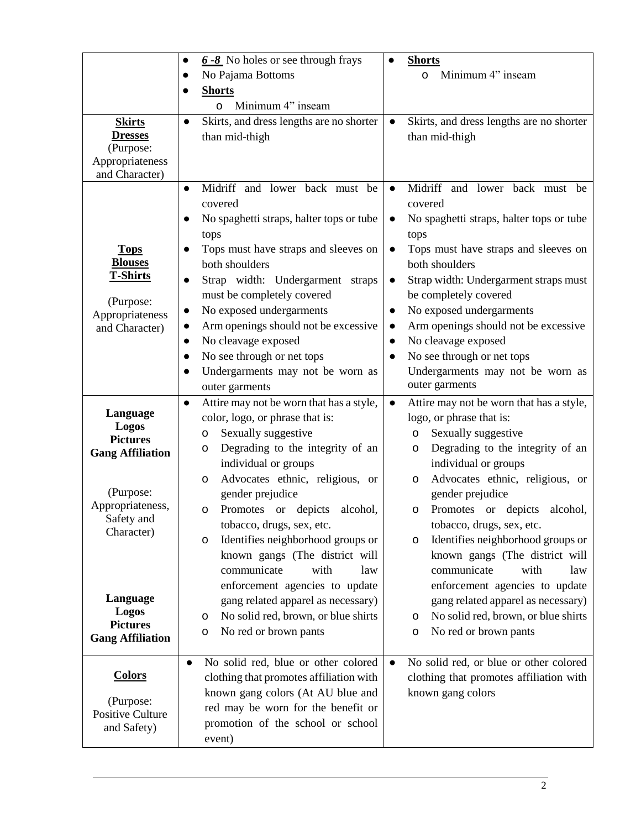|                                                                                                                | $6 - 8$ No holes or see through frays<br>No Pajama Bottoms<br><b>Shorts</b><br>O                                                                                                                                                                                                                                                                                         | <b>Shorts</b><br>Minimum 4" inseam<br>0                                                                                                                                                                                                                                                                                                                                                               |
|----------------------------------------------------------------------------------------------------------------|--------------------------------------------------------------------------------------------------------------------------------------------------------------------------------------------------------------------------------------------------------------------------------------------------------------------------------------------------------------------------|-------------------------------------------------------------------------------------------------------------------------------------------------------------------------------------------------------------------------------------------------------------------------------------------------------------------------------------------------------------------------------------------------------|
| <b>Skirts</b>                                                                                                  | Minimum 4" inseam<br>O<br>Skirts, and dress lengths are no shorter<br>$\bullet$                                                                                                                                                                                                                                                                                          | Skirts, and dress lengths are no shorter                                                                                                                                                                                                                                                                                                                                                              |
| <b>Dresses</b><br>(Purpose:<br>Appropriateness<br>and Character)                                               | than mid-thigh                                                                                                                                                                                                                                                                                                                                                           | than mid-thigh                                                                                                                                                                                                                                                                                                                                                                                        |
| <b>Tops</b><br><b>Blouses</b><br><b>T-Shirts</b><br>(Purpose:<br>Appropriateness<br>and Character)             | Midriff and lower back must be<br>$\bullet$<br>covered<br>No spaghetti straps, halter tops or tube<br>tops<br>Tops must have straps and sleeves on<br>both shoulders<br>Strap width: Undergarment straps<br>$\bullet$<br>must be completely covered<br>No exposed undergarments<br>$\bullet$<br>Arm openings should not be excessive<br>No cleavage exposed<br>$\bullet$ | and lower back must be<br>Midriff<br>$\bullet$<br>covered<br>No spaghetti straps, halter tops or tube<br>$\bullet$<br>tops<br>Tops must have straps and sleeves on<br>$\bullet$<br>both shoulders<br>Strap width: Undergarment straps must<br>$\bullet$<br>be completely covered<br>No exposed undergarments<br>$\bullet$<br>Arm openings should not be excessive<br>$\bullet$<br>No cleavage exposed |
|                                                                                                                | No see through or net tops<br>Undergarments may not be worn as<br>outer garments                                                                                                                                                                                                                                                                                         | No see through or net tops<br>$\bullet$<br>Undergarments may not be worn as<br>outer garments                                                                                                                                                                                                                                                                                                         |
| Language<br>Logos<br><b>Pictures</b><br><b>Gang Affiliation</b><br>(Purpose:<br>Appropriateness,<br>Safety and | Attire may not be worn that has a style,<br>$\bullet$<br>color, logo, or phrase that is:<br>Sexually suggestive<br>o<br>Degrading to the integrity of an<br>о<br>individual or groups<br>Advocates ethnic, religious, or<br>o<br>gender prejudice<br>Promotes or depicts<br>alcohol,<br>o                                                                                | Attire may not be worn that has a style,<br>$\bullet$<br>logo, or phrase that is:<br>Sexually suggestive<br>o<br>Degrading to the integrity of an<br>о<br>individual or groups<br>Advocates ethnic, religious, or<br>o<br>gender prejudice<br>Promotes or depicts<br>alcohol,<br>о                                                                                                                    |
| Character)<br>Language<br><b>Logos</b><br><b>Pictures</b><br><b>Gang Affiliation</b>                           | tobacco, drugs, sex, etc.<br>Identifies neighborhood groups or<br>o<br>known gangs (The district will<br>communicate<br>with<br>law<br>enforcement agencies to update<br>gang related apparel as necessary)<br>No solid red, brown, or blue shirts<br>o<br>No red or brown pants<br>o                                                                                    | tobacco, drugs, sex, etc.<br>Identifies neighborhood groups or<br>о<br>known gangs (The district will<br>communicate<br>with<br>law<br>enforcement agencies to update<br>gang related apparel as necessary)<br>No solid red, brown, or blue shirts<br>o<br>No red or brown pants<br>o                                                                                                                 |
| <b>Colors</b><br>(Purpose:<br>Positive Culture<br>and Safety)                                                  | No solid red, blue or other colored<br>$\bullet$<br>clothing that promotes affiliation with<br>known gang colors (At AU blue and<br>red may be worn for the benefit or<br>promotion of the school or school<br>event)                                                                                                                                                    | No solid red, or blue or other colored<br>$\bullet$<br>clothing that promotes affiliation with<br>known gang colors                                                                                                                                                                                                                                                                                   |